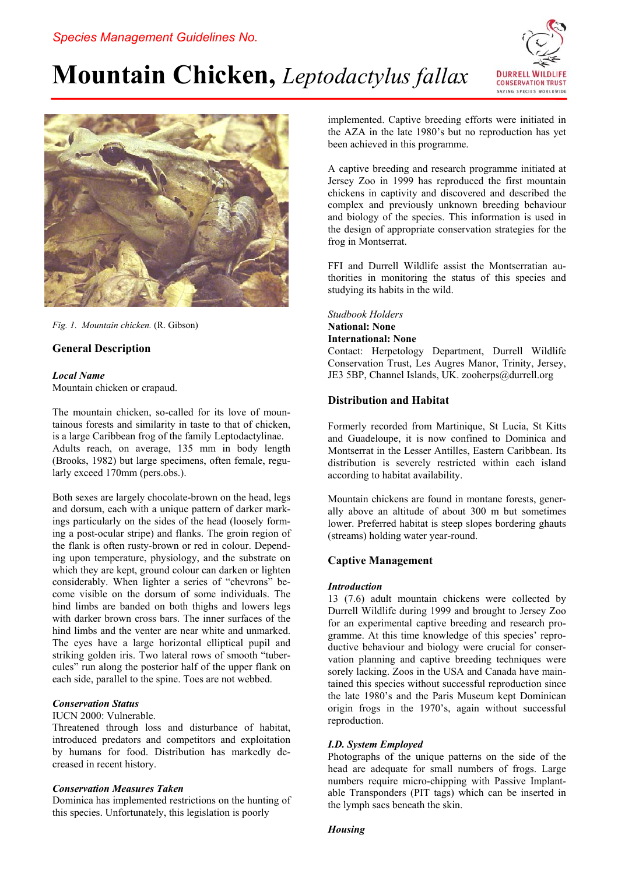# **Mountain Chicken,** *Leptodactylus fallax*





*Fig. 1. Mountain chicken.* (R. Gibson)

# **General Description**

## *Local Name*

Mountain chicken or crapaud.

The mountain chicken, so-called for its love of mountainous forests and similarity in taste to that of chicken, is a large Caribbean frog of the family Leptodactylinae. Adults reach, on average, 135 mm in body length (Brooks, 1982) but large specimens, often female, regularly exceed 170mm (pers.obs.).

Both sexes are largely chocolate-brown on the head, legs and dorsum, each with a unique pattern of darker markings particularly on the sides of the head (loosely forming a post-ocular stripe) and flanks. The groin region of the flank is often rusty-brown or red in colour. Depending upon temperature, physiology, and the substrate on which they are kept, ground colour can darken or lighten considerably. When lighter a series of "chevrons" become visible on the dorsum of some individuals. The hind limbs are banded on both thighs and lowers legs with darker brown cross bars. The inner surfaces of the hind limbs and the venter are near white and unmarked. The eyes have a large horizontal elliptical pupil and striking golden iris. Two lateral rows of smooth "tubercules" run along the posterior half of the upper flank on each side, parallel to the spine. Toes are not webbed.

## *Conservation Status*

IUCN 2000: Vulnerable.

Threatened through loss and disturbance of habitat, introduced predators and competitors and exploitation by humans for food. Distribution has markedly decreased in recent history.

## *Conservation Measures Taken*

Dominica has implemented restrictions on the hunting of this species. Unfortunately, this legislation is poorly

implemented. Captive breeding efforts were initiated in the AZA in the late 1980's but no reproduction has yet been achieved in this programme.

A captive breeding and research programme initiated at Jersey Zoo in 1999 has reproduced the first mountain chickens in captivity and discovered and described the complex and previously unknown breeding behaviour and biology of the species. This information is used in the design of appropriate conservation strategies for the frog in Montserrat.

FFI and Durrell Wildlife assist the Montserratian authorities in monitoring the status of this species and studying its habits in the wild.

*Studbook Holders* 

## **National: None**

**International: None** 

Contact: Herpetology Department, Durrell Wildlife Conservation Trust, Les Augres Manor, Trinity, Jersey, JE3 5BP, Channel Islands, UK. zooherps@durrell.org

## **Distribution and Habitat**

Formerly recorded from Martinique, St Lucia, St Kitts and Guadeloupe, it is now confined to Dominica and Montserrat in the Lesser Antilles, Eastern Caribbean. Its distribution is severely restricted within each island according to habitat availability.

Mountain chickens are found in montane forests, generally above an altitude of about 300 m but sometimes lower. Preferred habitat is steep slopes bordering ghauts (streams) holding water year-round.

# **Captive Management**

## *Introduction*

13 (7.6) adult mountain chickens were collected by Durrell Wildlife during 1999 and brought to Jersey Zoo for an experimental captive breeding and research programme. At this time knowledge of this species' reproductive behaviour and biology were crucial for conservation planning and captive breeding techniques were sorely lacking. Zoos in the USA and Canada have maintained this species without successful reproduction since the late 1980's and the Paris Museum kept Dominican origin frogs in the 1970's, again without successful reproduction.

## *I.D. System Employed*

Photographs of the unique patterns on the side of the head are adequate for small numbers of frogs. Large numbers require micro-chipping with Passive Implantable Transponders (PIT tags) which can be inserted in the lymph sacs beneath the skin.

## *Housing*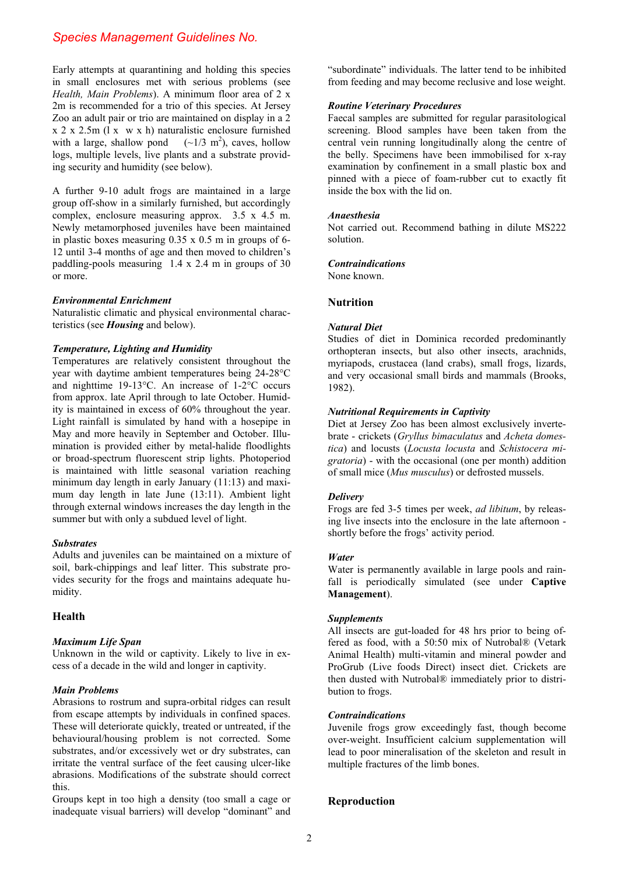# *Species Management Guidelines No.*

Early attempts at quarantining and holding this species in small enclosures met with serious problems (see *Health, Main Problems*). A minimum floor area of 2 x 2m is recommended for a trio of this species. At Jersey Zoo an adult pair or trio are maintained on display in a 2 x 2 x 2.5m (l x w x h) naturalistic enclosure furnished with a large, shallow pond  $({\sim}1/3$  m<sup>2</sup>), caves, hollow logs, multiple levels, live plants and a substrate providing security and humidity (see below).

A further 9-10 adult frogs are maintained in a large group off-show in a similarly furnished, but accordingly complex, enclosure measuring approx. 3.5 x 4.5 m. Newly metamorphosed juveniles have been maintained in plastic boxes measuring 0.35 x 0.5 m in groups of 6- 12 until 3-4 months of age and then moved to children's paddling-pools measuring 1.4 x 2.4 m in groups of 30 or more.

#### *Environmental Enrichment*

Naturalistic climatic and physical environmental characteristics (see *Housing* and below).

#### *Temperature, Lighting and Humidity*

Temperatures are relatively consistent throughout the year with daytime ambient temperatures being 24-28°C and nighttime 19-13°C. An increase of 1-2°C occurs from approx. late April through to late October. Humidity is maintained in excess of 60% throughout the year. Light rainfall is simulated by hand with a hosepipe in May and more heavily in September and October. Illumination is provided either by metal-halide floodlights or broad-spectrum fluorescent strip lights. Photoperiod is maintained with little seasonal variation reaching minimum day length in early January (11:13) and maximum day length in late June (13:11). Ambient light through external windows increases the day length in the summer but with only a subdued level of light.

## *Substrates*

Adults and juveniles can be maintained on a mixture of soil, bark-chippings and leaf litter. This substrate provides security for the frogs and maintains adequate humidity.

## **Health**

#### *Maximum Life Span*

Unknown in the wild or captivity. Likely to live in excess of a decade in the wild and longer in captivity.

#### *Main Problems*

Abrasions to rostrum and supra-orbital ridges can result from escape attempts by individuals in confined spaces. These will deteriorate quickly, treated or untreated, if the behavioural/housing problem is not corrected. Some substrates, and/or excessively wet or dry substrates, can irritate the ventral surface of the feet causing ulcer-like abrasions. Modifications of the substrate should correct this.

Groups kept in too high a density (too small a cage or inadequate visual barriers) will develop "dominant" and "subordinate" individuals. The latter tend to be inhibited from feeding and may become reclusive and lose weight.

## *Routine Veterinary Procedures*

Faecal samples are submitted for regular parasitological screening. Blood samples have been taken from the central vein running longitudinally along the centre of the belly. Specimens have been immobilised for x-ray examination by confinement in a small plastic box and pinned with a piece of foam-rubber cut to exactly fit inside the box with the lid on.

#### *Anaesthesia*

Not carried out. Recommend bathing in dilute MS222 solution.

#### *Contraindications*

None known.

## **Nutrition**

#### *Natural Diet*

Studies of diet in Dominica recorded predominantly orthopteran insects, but also other insects, arachnids, myriapods, crustacea (land crabs), small frogs, lizards, and very occasional small birds and mammals (Brooks, 1982).

#### *Nutritional Requirements in Captivity*

Diet at Jersey Zoo has been almost exclusively invertebrate - crickets (*Gryllus bimaculatus* and *Acheta domestica*) and locusts (*Locusta locusta* and *Schistocera migratoria*) - with the occasional (one per month) addition of small mice (*Mus musculus*) or defrosted mussels.

#### *Delivery*

Frogs are fed 3-5 times per week, *ad libitum*, by releasing live insects into the enclosure in the late afternoon shortly before the frogs' activity period.

#### *Water*

Water is permanently available in large pools and rainfall is periodically simulated (see under **Captive Management**).

## *Supplements*

All insects are gut-loaded for 48 hrs prior to being offered as food, with a 50:50 mix of Nutrobal® (Vetark Animal Health) multi-vitamin and mineral powder and ProGrub (Live foods Direct) insect diet. Crickets are then dusted with Nutrobal® immediately prior to distribution to frogs.

#### *Contraindications*

Juvenile frogs grow exceedingly fast, though become over-weight. Insufficient calcium supplementation will lead to poor mineralisation of the skeleton and result in multiple fractures of the limb bones.

## **Reproduction**